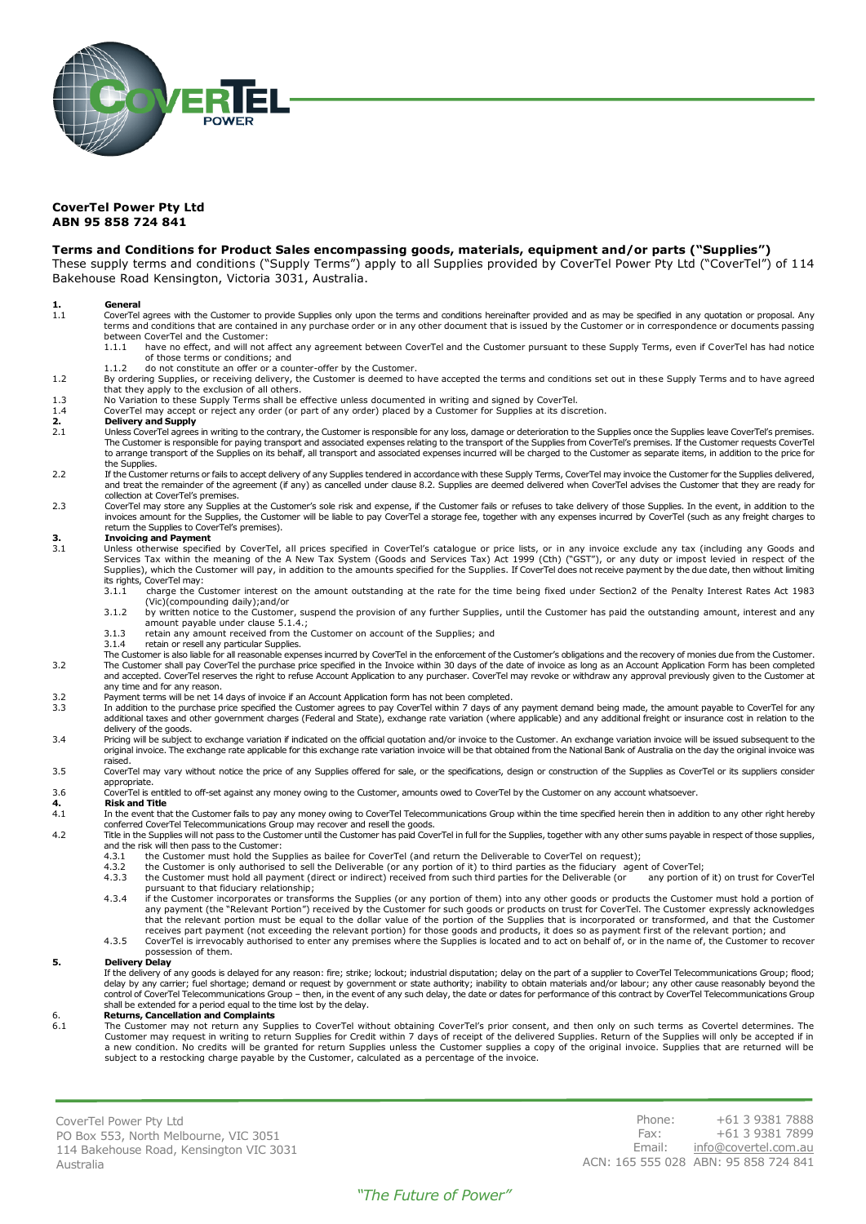

### **CoverTel Power Pty Ltd ABN 95 858 724 841**

#### **Terms and Conditions for Product Sales encompassing goods, materials, equipment and/or parts ("Supplies")**

These supply terms and conditions ("Supply Terms") apply to all Supplies provided by CoverTel Power Pty Ltd ("CoverTel") of 114 Bakehouse Road Kensington, Victoria 3031, Australia.

- **1. General** 1.1 CoverTel agrees with the Customer to provide Supplies only upon the terms and conditions hereinafter provided and as may be specified in any quotation or proposal. Any terms and conditions that are contained in any purchase order or in any other document that is issued by the Customer or in correspondence or documents passing between CoverTel and the Customer:
	- 1.1.1 have no effect, and will not affect any agreement between CoverTel and the Customer pursuant to these Supply Terms, even if CoverTel has had notice of those terms or conditions; and
	- 1.1.2 do not constitute an offer or a counter-offer by the Customer.
- 1.2 By ordering Supplies, or receiving delivery, the Customer is deemed to have accepted the terms and conditions set out in these Supply Terms and to have agreed that they apply to the exclusion of all others.
- 1.3 No Variation to these Supply Terms shall be effective unless documented in writing and signed by CoverTel.<br>1.4 CoverTel may accept or reject any order (or part of any order) placed by a Customer for Supplies at its dis
	- CoverTel may accept or reject any order (or part of any order) placed by a Customer for Supplies at its discretion.

# **2. Delivery and Supply**<br>2.1 Unless CoverTel agrees

- 2.1 Unless CoverTel agrees in writing to the contrary, the Customer is responsible for any loss, damage or deterioration to the Supplies once the Supplies leave CoverTel's premises. The Customer is responsible for paying transport and associated expenses relating to the transport of the Supplies from CoverTel's premises. If the Customer requests CoverTel<br>to arrange transport of the Supplies on its beh
- the Supplies.<br>2.2 If the Customer returns or fails to accept delivery of any Supplies tendered in accordance with these Supply Terms, CoverTel may invoice the Customer for the Supplies delivered, and treat the remainder of the agreement (if any) as cancelled under clause 8.2. Supplies are deemed delivered when CoverTel advises the Customer that they are ready for and treat they are ready for collection at CoverTel's premises.
- CoverTel may store any Supplies at the Customer's sole risk and expense, if the Customer fails or refuses to take delivery of those Supplies. In the event, in addition to the indition to the indition to the indition to the

## **3. Invoicing and Payment**<br>**3.1 Unless otherwise specific**

Unless otherwise specified by CoverTel, all prices specified in CoverTel's catalogue or price lists, or in any invoice exclude any tax (including any Goods and<br>Services Tax within the meaning of the A New Tax System (Goods Supplies), which the Customer will pay, in addition to the amounts specified for the Supplies. If CoverTel does not receive payment by the due date, then without limiting

- its rights, CoverTel may:<br>3.1.1 charge the C charge the Customer interest on the amount outstanding at the rate for the time being fixed under Section2 of the Penalty Interest Rates Act 1983 (Vic)(compounding daily);and/or
- 3.1.2 by written notice to the Customer, suspend the provision of any further Supplies, until the Customer has paid the outstanding amount, interest and any
- amount payable under clause 5.1.4.; 3.1.3 retain any amount received from the Customer on account of the Supplies; and
- 3.1.4 retain or resell any particular Supplies.
- .The Customer is also liable for all reasonable expenses incurred by CoverTel in the enforcement of the Customer's obligations and the recovery of monies due from the Customer.<br>The Customer shall pay CoverTel the purchase and accepted. CoverTel reserves the right to refuse Account Application to any purchaser. CoverTel may revoke or withdraw any approval previously given to the Customer at any time and for any reason.
- 3.2 Payment terms will be net 14 days of invoice if an Account Application form has not been completed.<br>3.3 In addition to the purchase price specified the Customer agrees to pay CoverTel within 7 days of an
- In addition to the purchase price specified the Customer agrees to pay CoverTel within 7 days of any payment demand being made, the amount payable to CoverTel for any<br>additional taxes and other government charges (Federal delivery of the goods.
- 3.4 Pricing will be subject to exchange variation if indicated on the official quotation and/or invoice to the Customer. An exchange variation invoice will be issued subsequent to the<br>original invoice. The exchange rate ap raised.
- 3.5 CoverTel may vary without notice the price of any Supplies offered for sale, or the specifications, design or construction of the Supplies as CoverTel or its suppliers consider
- appropriate. 3.6 CoverTel is entitled to off-set against any money owing to the Customer, amounts owed to CoverTel by the Customer on any account whatsoever.

#### **4. Risk and Title**

- 4.1 In the event that the Customer fails to pay any money owing to CoverTel Telecommunications Group within the time specified herein then in addition to any other right hereby conferred CoverTel Telecommunications Group may recover and resell the goods.
- 4.2 Title in the Supplies will not pass to the Customer until the Customer has paid CoverTel in full for the Supplies, together with any other sums payable in respect of those supplies, and the risk will then pass to the Customer:<br>4.3.1 the Customer must hold the Su
	- 4.3.1 the Customer must hold the Supplies as bailee for CoverTel (and return the Deliverable to CoverTel on request);<br>4.3.2 the Customer is only authorised to sell the Deliverable (or any portion of it) to third parties as
		-
		- 4.3.2 the Customer is only authorised to sell the Deliverable (or any portion of it) to third parties as the fiduciary agent of CoverTel;<br>4.3.3 the Customer must hold all payment (direct or indirect) received from such thi pursuant to that fiduciary relationship;<br>4.3.4 if the Customer incorporates or transforms the Supplies (or any portion of them) into any other goods or products the Customer must hold a portion of
		- any payment (the "Relevant Portion") received by the Customer for such goods or products on trust for CoverTel. The Customer expressly acknowledges<br>that the relevant portion must be equal to the dollar value of the portion receives part payment (not exceeding the relevant portion) for those goods and products, it does so as payment first of the relevant portion; and
	- 4.3.5 CoverTel is irrevocably authorised to enter any premises where the Supplies is located and to act on behalf of, or in the name of, the Customer to recover possession of them.

#### **5. Delivery Delay**

If the delivery of any goods is delayed for any reason: fire; strike; lockout; industrial disputation; delay on the part of a supplier to CoverTel Telecommunications Group; flood;<br>delay by any carrier; fuel shortage; deman control of CoverTel Telecommunications Group – then, in the event of any such delay, the date or dates for performance of this contract by CoverTel Telecommunications Group shall be extended for a period equal to the time lost by the delay.

# 6. **Returns, Cancellation and Complaints**

The Customer may not return any Supplies to CoverTel without obtaining CoverTel's prior consent, and then only on such terms as Covertel determines. The Customer may request in writing to return Supplies for Credit within 7 days of receipt of the delivered Supplies. Return of the Supplies will only be accepted if in a new condition. No credits will be granted for return Supplies unless the Customer supplies a copy of the original invoice. Supplies that are returned will be<br>subject to a restocking charge payable by the Customer, calcul

CoverTel Power Pty Ltd PO Box 553, North Melbourne, VIC 3051 114 Bakehouse Road, Kensington VIC 3031 Australia

Phone: +61 3 9381 7888 Fax: +61 3 9381 7899 Email: [info@covertel.com.au](mailto:info@covertel.com.au) ACN: 165 555 028 ABN: 95 858 724 841

### *"The Future of Power"*